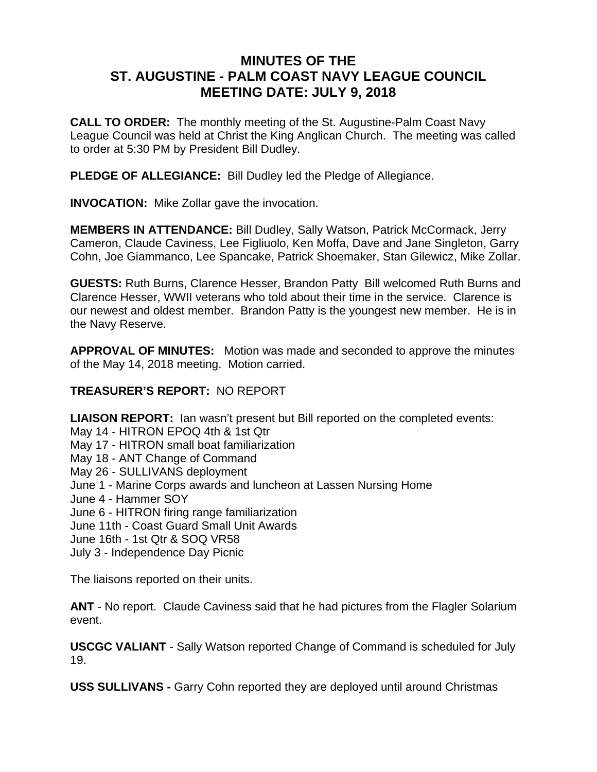# **MINUTES OF THE ST. AUGUSTINE - PALM COAST NAVY LEAGUE COUNCIL MEETING DATE: JULY 9, 2018**

**CALL TO ORDER:** The monthly meeting of the St. Augustine-Palm Coast Navy League Council was held at Christ the King Anglican Church. The meeting was called to order at 5:30 PM by President Bill Dudley.

**PLEDGE OF ALLEGIANCE:** Bill Dudley led the Pledge of Allegiance.

**INVOCATION:** Mike Zollar gave the invocation.

**MEMBERS IN ATTENDANCE:** Bill Dudley, Sally Watson, Patrick McCormack, Jerry Cameron, Claude Caviness, Lee Figliuolo, Ken Moffa, Dave and Jane Singleton, Garry Cohn, Joe Giammanco, Lee Spancake, Patrick Shoemaker, Stan Gilewicz, Mike Zollar.

**GUESTS:** Ruth Burns, Clarence Hesser, Brandon Patty Bill welcomed Ruth Burns and Clarence Hesser, WWII veterans who told about their time in the service. Clarence is our newest and oldest member. Brandon Patty is the youngest new member. He is in the Navy Reserve.

**APPROVAL OF MINUTES:** Motion was made and seconded to approve the minutes of the May 14, 2018 meeting. Motion carried.

#### **TREASURER'S REPORT:** NO REPORT

**LIAISON REPORT:** Ian wasn't present but Bill reported on the completed events:

- May 14 HITRON EPOQ 4th & 1st Qtr
- May 17 HITRON small boat familiarization
- May 18 ANT Change of Command
- May 26 SULLIVANS deployment
- June 1 Marine Corps awards and luncheon at Lassen Nursing Home
- June 4 Hammer SOY
- June 6 HITRON firing range familiarization
- June 11th Coast Guard Small Unit Awards
- June 16th 1st Qtr & SOQ VR58
- July 3 Independence Day Picnic

The liaisons reported on their units.

**ANT** - No report. Claude Caviness said that he had pictures from the Flagler Solarium event.

**USCGC VALIANT** - Sally Watson reported Change of Command is scheduled for July 19.

**USS SULLIVANS -** Garry Cohn reported they are deployed until around Christmas